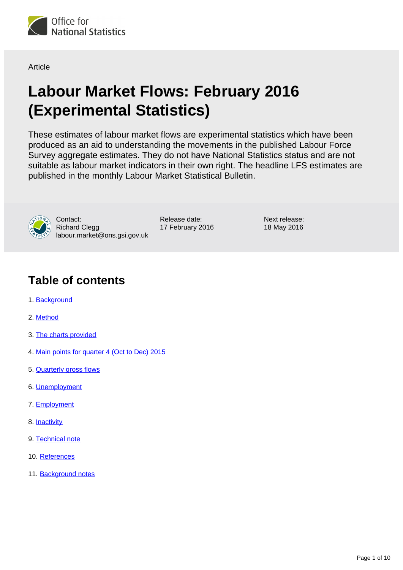

**Article** 

# **Labour Market Flows: February 2016 (Experimental Statistics)**

These estimates of labour market flows are experimental statistics which have been produced as an aid to understanding the movements in the published Labour Force Survey aggregate estimates. They do not have National Statistics status and are not suitable as labour market indicators in their own right. The headline LFS estimates are published in the monthly Labour Market Statistical Bulletin.



Contact: Richard Clegg labour.market@ons.gsi.gov.uk Release date: 17 February 2016 Next release: 18 May 2016

# **Table of contents**

- 1. [Background](#page-1-0)
- 2. [Method](#page-1-1)
- 3. [The charts provided](#page-1-2)
- 4. [Main points for quarter 4 \(Oct to Dec\) 2015](#page-1-3)
- 5. [Quarterly gross flows](#page-2-0)
- 6. [Unemployment](#page-2-1)
- 7. [Employment](#page-4-0)
- 8. [Inactivity](#page-7-0)
- 9. [Technical note](#page-9-0)
- 10. [References](#page-9-1)
- 11. [Background notes](#page-9-2)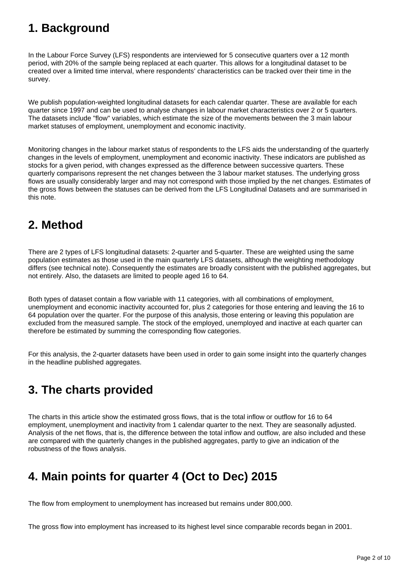# <span id="page-1-0"></span>**1. Background**

In the Labour Force Survey (LFS) respondents are interviewed for 5 consecutive quarters over a 12 month period, with 20% of the sample being replaced at each quarter. This allows for a longitudinal dataset to be created over a limited time interval, where respondents' characteristics can be tracked over their time in the survey.

We publish population-weighted longitudinal datasets for each calendar quarter. These are available for each quarter since 1997 and can be used to analyse changes in labour market characteristics over 2 or 5 quarters. The datasets include "flow" variables, which estimate the size of the movements between the 3 main labour market statuses of employment, unemployment and economic inactivity.

Monitoring changes in the labour market status of respondents to the LFS aids the understanding of the quarterly changes in the levels of employment, unemployment and economic inactivity. These indicators are published as stocks for a given period, with changes expressed as the difference between successive quarters. These quarterly comparisons represent the net changes between the 3 labour market statuses. The underlying gross flows are usually considerably larger and may not correspond with those implied by the net changes. Estimates of the gross flows between the statuses can be derived from the LFS Longitudinal Datasets and are summarised in this note.

# <span id="page-1-1"></span>**2. Method**

There are 2 types of LFS longitudinal datasets: 2-quarter and 5-quarter. These are weighted using the same population estimates as those used in the main quarterly LFS datasets, although the weighting methodology differs (see technical note). Consequently the estimates are broadly consistent with the published aggregates, but not entirely. Also, the datasets are limited to people aged 16 to 64.

Both types of dataset contain a flow variable with 11 categories, with all combinations of employment, unemployment and economic inactivity accounted for, plus 2 categories for those entering and leaving the 16 to 64 population over the quarter. For the purpose of this analysis, those entering or leaving this population are excluded from the measured sample. The stock of the employed, unemployed and inactive at each quarter can therefore be estimated by summing the corresponding flow categories.

For this analysis, the 2-quarter datasets have been used in order to gain some insight into the quarterly changes in the headline published aggregates.

# <span id="page-1-2"></span>**3. The charts provided**

The charts in this article show the estimated gross flows, that is the total inflow or outflow for 16 to 64 employment, unemployment and inactivity from 1 calendar quarter to the next. They are seasonally adjusted. Analysis of the net flows, that is, the difference between the total inflow and outflow, are also included and these are compared with the quarterly changes in the published aggregates, partly to give an indication of the robustness of the flows analysis.

# <span id="page-1-3"></span>**4. Main points for quarter 4 (Oct to Dec) 2015**

The flow from employment to unemployment has increased but remains under 800,000.

The gross flow into employment has increased to its highest level since comparable records began in 2001.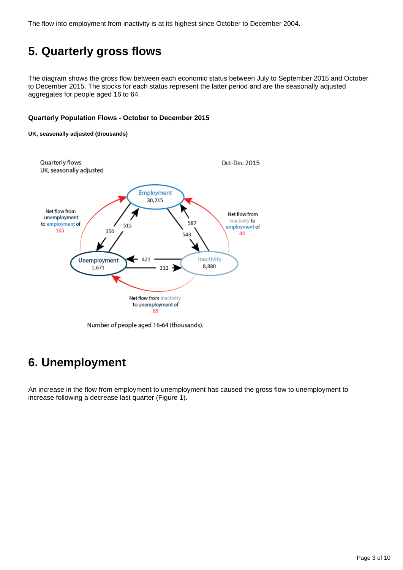The flow into employment from inactivity is at its highest since October to December 2004.

# <span id="page-2-0"></span>**5. Quarterly gross flows**

The diagram shows the gross flow between each economic status between July to September 2015 and October to December 2015. The stocks for each status represent the latter period and are the seasonally adjusted aggregates for people aged 16 to 64.

### **Quarterly Population Flows - October to December 2015**

### **UK, seasonally adjusted (thousands)**



Number of people aged 16-64 (thousands).

## <span id="page-2-1"></span>**6. Unemployment**

An increase in the flow from employment to unemployment has caused the gross flow to unemployment to increase following a decrease last quarter (Figure 1).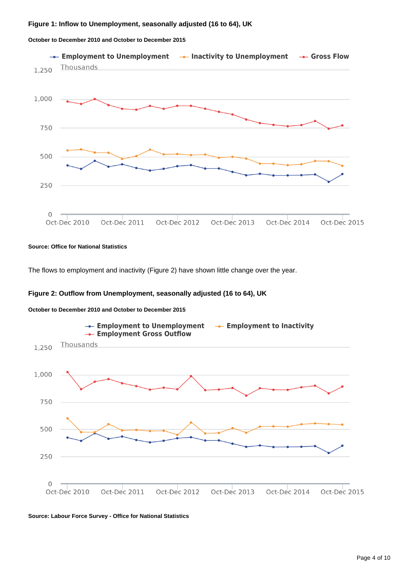### **Figure 1: Inflow to Unemployment, seasonally adjusted (16 to 64), UK**

#### **October to December 2010 and October to December 2015**



#### **Source: Office for National Statistics**

The flows to employment and inactivity (Figure 2) have shown little change over the year.

### **Figure 2: Outflow from Unemployment, seasonally adjusted (16 to 64), UK**





### **Source: Labour Force Survey - Office for National Statistics**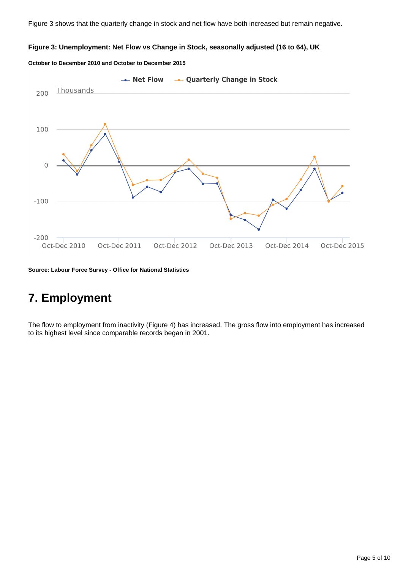Figure 3 shows that the quarterly change in stock and net flow have both increased but remain negative.

### **Figure 3: Unemployment: Net Flow vs Change in Stock, seasonally adjusted (16 to 64), UK**





**Source: Labour Force Survey - Office for National Statistics**

# <span id="page-4-0"></span>**7. Employment**

The flow to employment from inactivity (Figure 4) has increased. The gross flow into employment has increased to its highest level since comparable records began in 2001.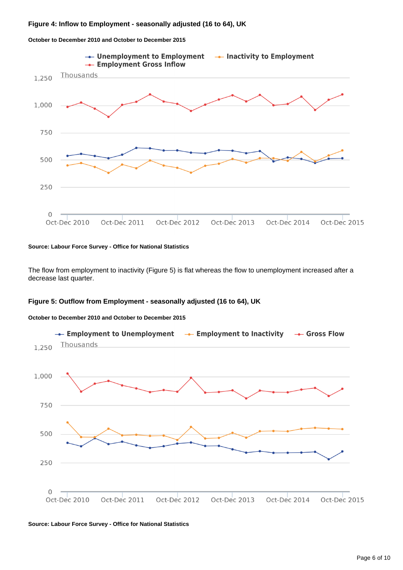



#### **Source: Labour Force Survey - Office for National Statistics**

The flow from employment to inactivity (Figure 5) is flat whereas the flow to unemployment increased after a decrease last quarter.

### **Figure 5: Outflow from Employment - seasonally adjusted (16 to 64), UK**

### **October to December 2010 and October to December 2015**



**Source: Labour Force Survey - Office for National Statistics**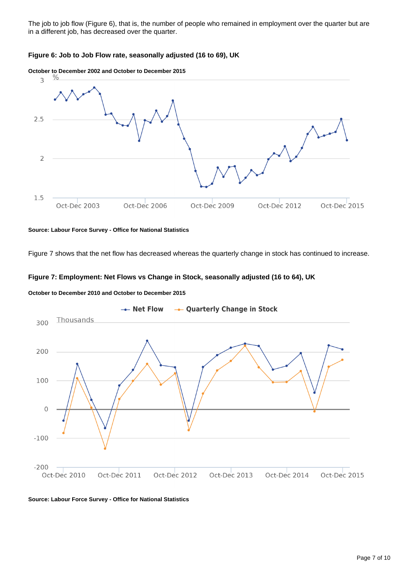The job to job flow (Figure 6), that is, the number of people who remained in employment over the quarter but are in a different job, has decreased over the quarter.

### **Figure 6: Job to Job Flow rate, seasonally adjusted (16 to 69), UK**





**Source: Labour Force Survey - Office for National Statistics**

Figure 7 shows that the net flow has decreased whereas the quarterly change in stock has continued to increase.

### **Figure 7: Employment: Net Flows vs Change in Stock, seasonally adjusted (16 to 64), UK**





**Source: Labour Force Survey - Office for National Statistics**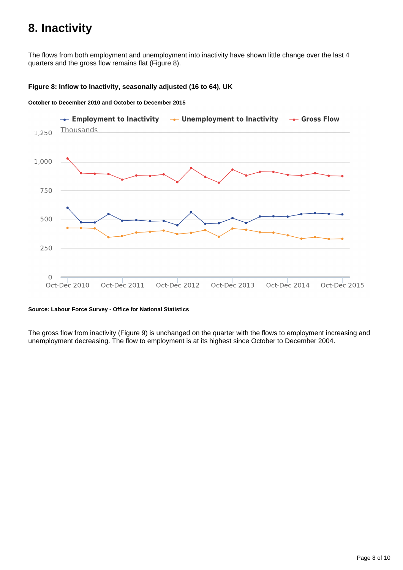# <span id="page-7-0"></span>**8. Inactivity**

The flows from both employment and unemployment into inactivity have shown little change over the last 4 quarters and the gross flow remains flat (Figure 8).

### **Figure 8: Inflow to Inactivity, seasonally adjusted (16 to 64), UK**



#### **October to December 2010 and October to December 2015**

**Source: Labour Force Survey - Office for National Statistics**

The gross flow from inactivity (Figure 9) is unchanged on the quarter with the flows to employment increasing and unemployment decreasing. The flow to employment is at its highest since October to December 2004.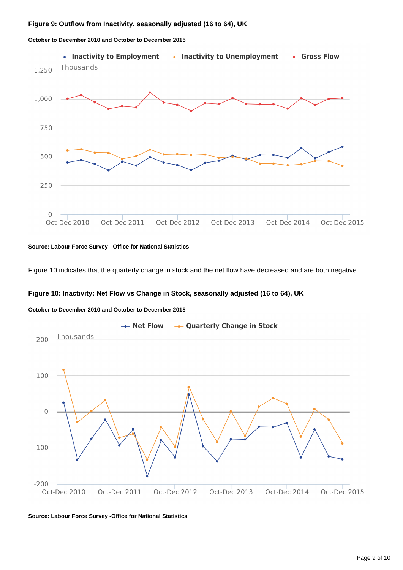### **Figure 9: Outflow from Inactivity, seasonally adjusted (16 to 64), UK**



**October to December 2010 and October to December 2015**

#### **Source: Labour Force Survey - Office for National Statistics**

Figure 10 indicates that the quarterly change in stock and the net flow have decreased and are both negative.

### **Figure 10: Inactivity: Net Flow vs Change in Stock, seasonally adjusted (16 to 64), UK**

### **October to December 2010 and October to December 2015**



### **Source: Labour Force Survey -Office for National Statistics**